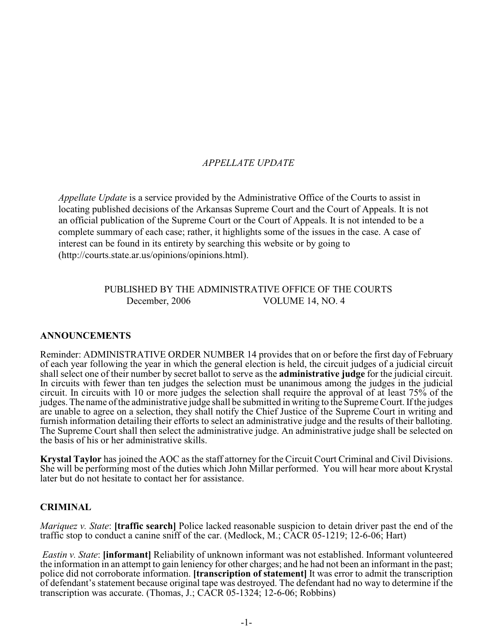# *APPELLATE UPDATE*

*Appellate Update* is a service provided by the Administrative Office of the Courts to assist in locating published decisions of the Arkansas Supreme Court and the Court of Appeals. It is not an official publication of the Supreme Court or the Court of Appeals. It is not intended to be a complete summary of each case; rather, it highlights some of the issues in the case. A case of interest can be found in its entirety by searching this website or by going to (http://courts.state.ar.us/opinions/opinions.html).

## PUBLISHED BY THE ADMINISTRATIVE OFFICE OF THE COURTS December, 2006 VOLUME 14, NO. 4

## **ANNOUNCEMENTS**

Reminder: ADMINISTRATIVE ORDER NUMBER 14 provides that on or before the first day of February of each year following the year in which the general election is held, the circuit judges of a judicial circuit shall select one of their number by secret ballot to serve as the **administrative judge** for the judicial circuit. In circuits with fewer than ten judges the selection must be unanimous among the judges in the judicial circuit. In circuits with 10 or more judges the selection shall require the approval of at least 75% of the judges. The name of the administrative judge shall be submitted in writing to the Supreme Court. If the judges are unable to agree on a selection, they shall notify the Chief Justice of the Supreme Court in writing and furnish information detailing their efforts to select an administrative judge and the results of their balloting. The Supreme Court shall then select the administrative judge. An administrative judge shall be selected on the basis of his or her administrative skills.

**Krystal Taylor** has joined the AOC as the staff attorney for the Circuit Court Criminal and Civil Divisions. She will be performing most of the duties which John Millar performed. You will hear more about Krystal later but do not hesitate to contact her for assistance.

### **CRIMINAL**

*Mariquez v. State*: **[traffic search]** Police lacked reasonable suspicion to detain driver past the end of the traffic stop to conduct a canine sniff of the car. (Medlock, M.; CACR 05-1219; 12-6-06; Hart)

*Eastin v. State*: **[informant]** Reliability of unknown informant was not established. Informant volunteered the information in an attempt to gain leniency for other charges; and he had not been an informant in the past; police did not corroborate information. **[transcription of statement]** It was error to admit the transcription of defendant's statement because original tape was destroyed. The defendant had no way to determine if the transcription was accurate. (Thomas, J.; CACR 05-1324; 12-6-06; Robbins)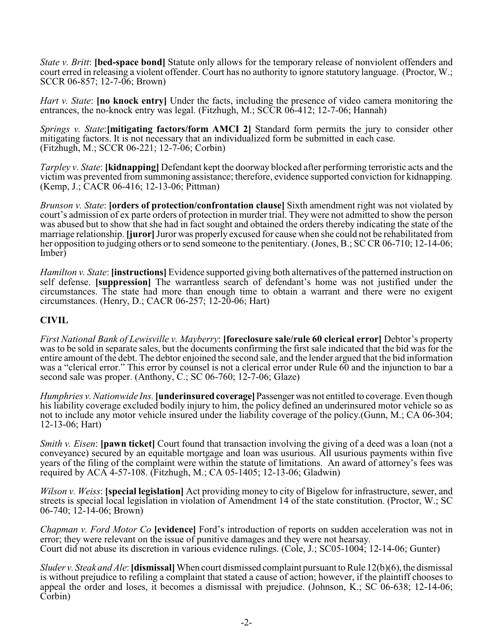*State v. Britt*: **[bed-space bond]** Statute only allows for the temporary release of nonviolent offenders and court erred in releasing a violent offender. Court has no authority to ignore statutory language. (Proctor, W.; SCCR 06-857; 12-7-06; Brown)

*Hart v. State*: **[no knock entry]** Under the facts, including the presence of video camera monitoring the entrances, the no-knock entry was legal. (Fitzhugh, M.; SCCR 06-412; 12-7-06; Hannah)

*Springs v. State*:**[mitigating factors/form AMCI 2]** Standard form permits the jury to consider other mitigating factors. It is not necessary that an individualized form be submitted in each case. (Fitzhugh, M.; SCCR 06-221; 12-7-06; Corbin)

*Tarpley v. State*: **[kidnapping]** Defendant kept the doorway blocked after performing terroristic acts and the victim was prevented from summoning assistance; therefore, evidence supported conviction for kidnapping. (Kemp, J.; CACR 06-416; 12-13-06; Pittman)

*Brunson v. State*: **[orders of protection/confrontation clause]** Sixth amendment right was not violated by court's admission of ex parte orders of protection in murder trial. They were not admitted to show the person was abused but to show that she had in fact sought and obtained the orders thereby indicating the state of the marriage relationship. **[juror]** Juror was properly excused for cause when she could not be rehabilitated from her opposition to judging others or to send someone to the penitentiary. (Jones, B.; SC CR 06-710; 12-14-06; Imber)

*Hamilton v. State*: **[instructions]** Evidence supported giving both alternatives of the patterned instruction on self defense. **[suppression]** The warrantless search of defendant's home was not justified under the circumstances. The state had more than enough time to obtain a warrant and there were no exigent circumstances. (Henry, D.; CACR 06-257; 12-20-06; Hart)

#### **CIVIL**

*First National Bank of Lewisville v. Mayberry*: **[foreclosure sale/rule 60 clerical error]** Debtor's property was to be sold in separate sales, but the documents confirming the first sale indicated that the bid was for the entire amount of the debt. The debtor enjoined the second sale, and the lender argued that the bid information was a "clerical error." This error by counsel is not a clerical error under Rule 60 and the injunction to bar a second sale was proper. (Anthony, C.; SC 06-760; 12-7-06; Glaze)

*Humphries v. Nationwide Ins.***[underinsured coverage]**Passenger was not entitled to coverage. Even though his liability coverage excluded bodily injury to him, the policy defined an underinsured motor vehicle so as not to include any motor vehicle insured under the liability coverage of the policy.(Gunn, M.; CA 06-304; 12-13-06; Hart)

*Smith v. Eisen*: **[pawn ticket]** Court found that transaction involving the giving of a deed was a loan (not a conveyance) secured by an equitable mortgage and loan was usurious. All usurious payments within five years of the filing of the complaint were within the statute of limitations. An award of attorney's fees was required by ACA 4-57-108. (Fitzhugh, M.; CA 05-1405; 12-13-06; Gladwin)

*Wilson v. Weiss*: **[special legislation]** Act providing money to city of Bigelow for infrastructure, sewer, and streets is special local legislation in violation of Amendment 14 of the state constitution. (Proctor, W.; SC 06-740; 12-14-06; Brown)

*Chapman v. Ford Motor Co* **[evidence]** Ford's introduction of reports on sudden acceleration was not in error; they were relevant on the issue of punitive damages and they were not hearsay. Court did not abuse its discretion in various evidence rulings. (Cole, J.; SC05-1004; 12-14-06; Gunter)

*Sluder v. Steak and Ale*: **[dismissal]** When court dismissed complaint pursuant to Rule 12(b)(6), the dismissal is without prejudice to refiling a complaint that stated a cause of action; however, if the plaintiff chooses to appeal the order and loses, it becomes a dismissal with prejudice. (Johnson, K.; SC 06-638; 12-14-06; Corbin)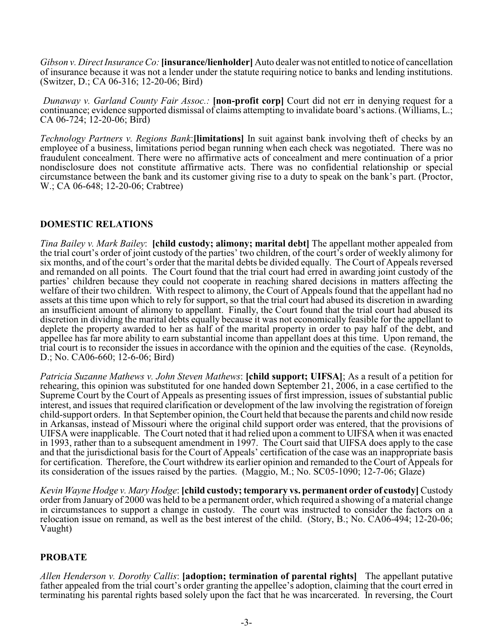*Gibson v. Direct Insurance Co:* **[insurance/lienholder]** Auto dealer was not entitled to notice of cancellation of insurance because it was not a lender under the statute requiring notice to banks and lending institutions. (Switzer, D.; CA 06-316; 12-20-06; Bird)

*Dunaway v. Garland County Fair Assoc.:* **[non-profit corp]** Court did not err in denying request for a continuance; evidence supported dismissal of claims attempting to invalidate board's actions. (Williams, L.; CA 06-724; 12-20-06; Bird)

*Technology Partners v. Regions Bank*:**[limitations]** In suit against bank involving theft of checks by an employee of a business, limitations period began running when each check was negotiated. There was no fraudulent concealment. There were no affirmative acts of concealment and mere continuation of a prior nondisclosure does not constitute affirmative acts. There was no confidential relationship or special circumstance between the bank and its customer giving rise to a duty to speak on the bank's part. (Proctor, W.; CA 06-648; 12-20-06; Crabtree)

#### **DOMESTIC RELATIONS**

*Tina Bailey v. Mark Bailey*: **[child custody; alimony; marital debt]** The appellant mother appealed from the trial court's order of joint custody of the parties' two children, of the court's order of weekly alimony for six months, and of the court's order that the marital debts be divided equally. The Court of Appeals reversed and remanded on all points. The Court found that the trial court had erred in awarding joint custody of the parties' children because they could not cooperate in reaching shared decisions in matters affecting the welfare of their two children. With respect to alimony, the Court of Appeals found that the appellant had no assets at this time upon which to rely for support, so that the trial court had abused its discretion in awarding an insufficient amount of alimony to appellant. Finally, the Court found that the trial court had abused its discretion in dividing the marital debts equally because it was not economically feasible for the appellant to deplete the property awarded to her as half of the marital property in order to pay half of the debt, and appellee has far more ability to earn substantial income than appellant does at this time. Upon remand, the trial court is to reconsider the issues in accordance with the opinion and the equities of the case. (Reynolds, D.; No. CA06-660; 12-6-06; Bird)

*Patricia Suzanne Mathews v. John Steven Mathews*: **[child support; UIFSA]**; As a result of a petition for rehearing, this opinion was substituted for one handed down September 21, 2006, in a case certified to the Supreme Court by the Court of Appeals as presenting issues of first impression, issues of substantial public interest, and issues that required clarification or development of the law involving the registration of foreign child-support orders. In that September opinion, the Court held that because the parents and child now reside in Arkansas, instead of Missouri where the original child support order was entered, that the provisions of UIFSA were inapplicable. The Court noted that it had relied upon a comment to UIFSA when it was enacted in 1993, rather than to a subsequent amendment in 1997. The Court said that UIFSA does apply to the case and that the jurisdictional basis for the Court of Appeals' certification of the case was an inappropriate basis for certification. Therefore, the Court withdrew its earlier opinion and remanded to the Court of Appeals for its consideration of the issues raised by the parties. (Maggio, M.; No. SC05-1090; 12-7-06; Glaze)

*Kevin Wayne Hodge v. Mary Hodge*: **[child custody; temporary vs. permanent order of custody]** Custody order from January of 2000 was held to be a permanent order, which required a showing of a material change in circumstances to support a change in custody. The court was instructed to consider the factors on a relocation issue on remand, as well as the best interest of the child. (Story, B.; No. CA06-494; 12-20-06; Vaught)

#### **PROBATE**

*Allen Henderson v. Dorothy Callis*: **[adoption; termination of parental rights]** The appellant putative father appealed from the trial court's order granting the appellee's adoption, claiming that the court erred in terminating his parental rights based solely upon the fact that he was incarcerated. In reversing, the Court